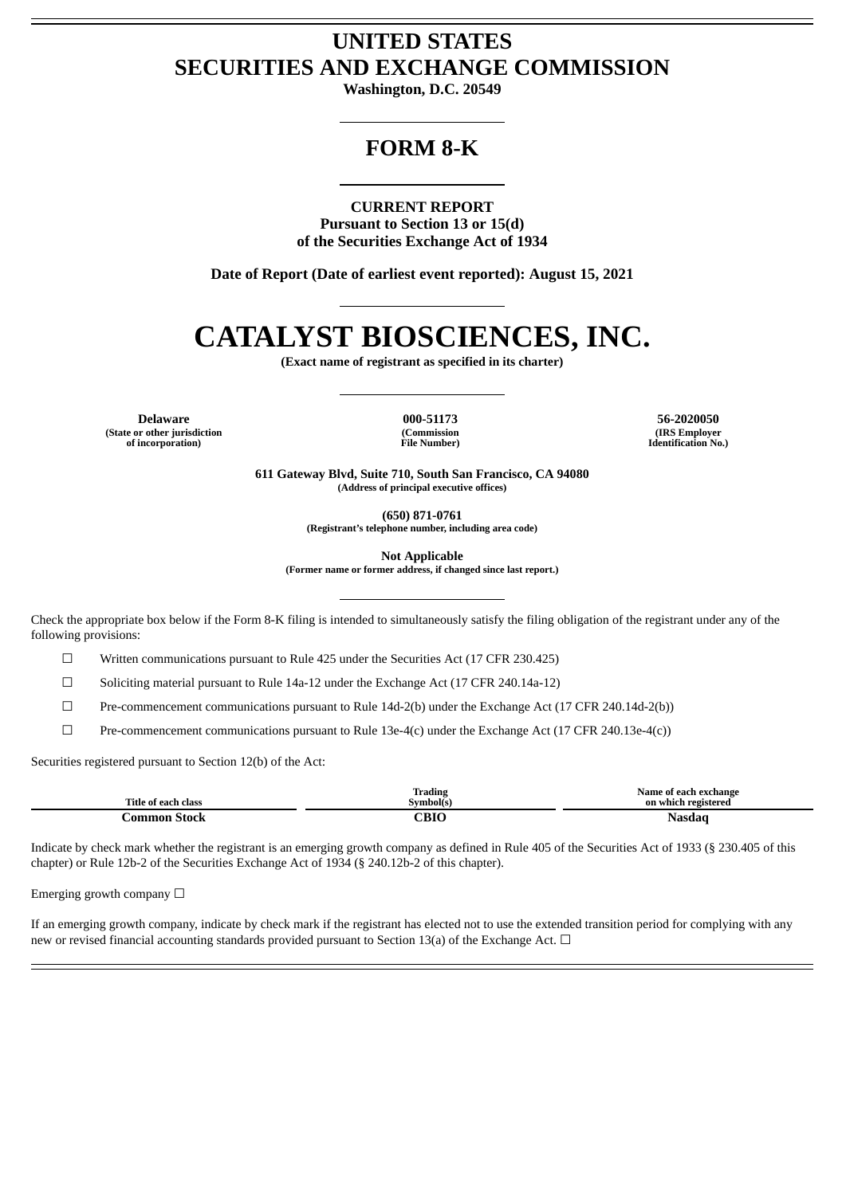# **UNITED STATES SECURITIES AND EXCHANGE COMMISSION**

**Washington, D.C. 20549**

## **FORM 8-K**

#### **CURRENT REPORT**

**Pursuant to Section 13 or 15(d) of the Securities Exchange Act of 1934**

**Date of Report (Date of earliest event reported): August 15, 2021**

# **CATALYST BIOSCIENCES, INC.**

**(Exact name of registrant as specified in its charter)**

**Delaware 000-51173 56-2020050 (State or other jurisdiction of incorporation)**

**(Commission File Number)**

**(IRS Employer Identification No.)**

**611 Gateway Blvd, Suite 710, South San Francisco, CA 94080 (Address of principal executive offices)**

**(650) 871-0761**

**(Registrant's telephone number, including area code)**

**Not Applicable**

**(Former name or former address, if changed since last report.)**

Check the appropriate box below if the Form 8-K filing is intended to simultaneously satisfy the filing obligation of the registrant under any of the following provisions:

☐ Written communications pursuant to Rule 425 under the Securities Act (17 CFR 230.425)

☐ Soliciting material pursuant to Rule 14a-12 under the Exchange Act (17 CFR 240.14a-12)

☐ Pre-commencement communications pursuant to Rule 14d-2(b) under the Exchange Act (17 CFR 240.14d-2(b))

 $\square$  Pre-commencement communications pursuant to Rule 13e-4(c) under the Exchange Act (17 CFR 240.13e-4(c))

Securities registered pursuant to Section 12(b) of the Act:

|                     | Trading          | Name of each exchange |
|---------------------|------------------|-----------------------|
| Title of each class | Symbol(s)        | on which registered   |
| ammon)<br>Stock     | $\cap$ RT $\cap$ | Nood                  |

Indicate by check mark whether the registrant is an emerging growth company as defined in Rule 405 of the Securities Act of 1933 (§ 230.405 of this chapter) or Rule 12b-2 of the Securities Exchange Act of 1934 (§ 240.12b-2 of this chapter).

Emerging growth company  $\Box$ 

If an emerging growth company, indicate by check mark if the registrant has elected not to use the extended transition period for complying with any new or revised financial accounting standards provided pursuant to Section 13(a) of the Exchange Act.  $\Box$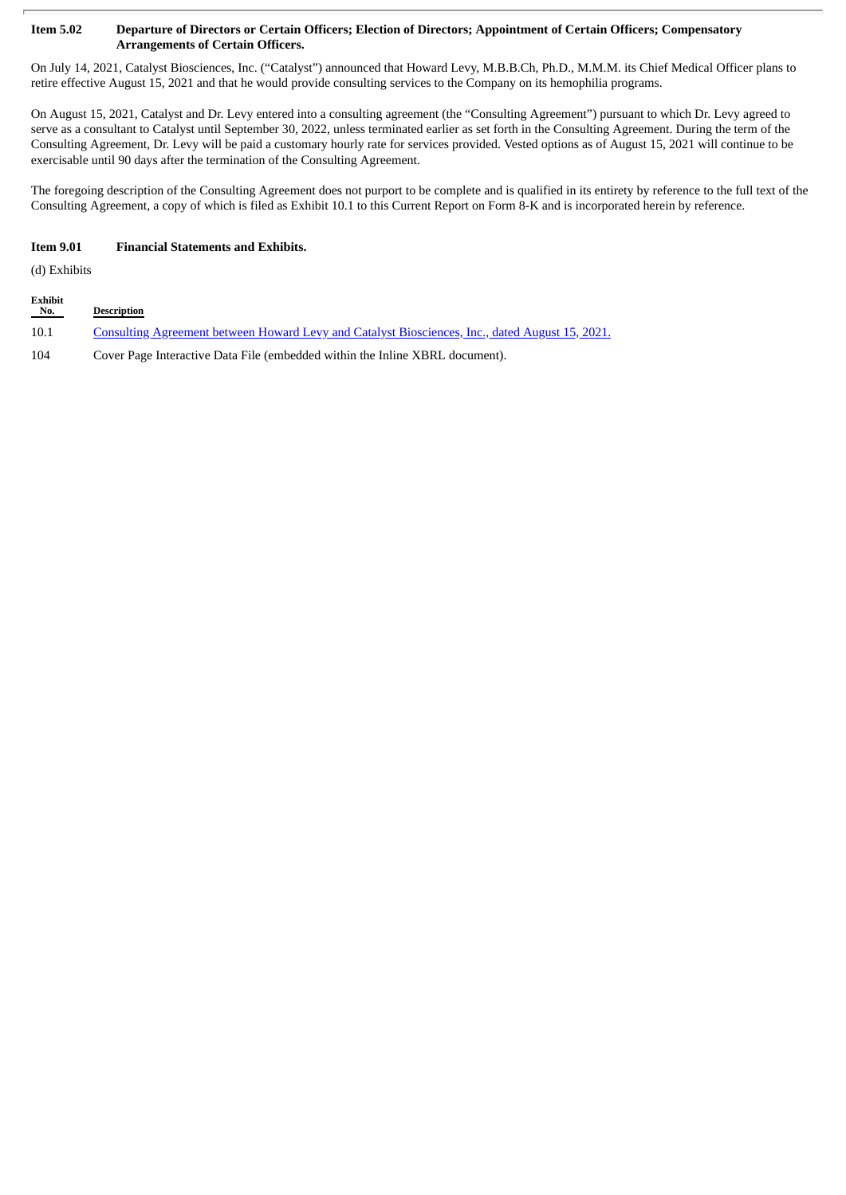#### Item 5.02 Departure of Directors or Certain Officers; Election of Directors; Appointment of Certain Officers; Compensatory **Arrangements of Certain Officers.**

On July 14, 2021, Catalyst Biosciences, Inc. ("Catalyst") announced that Howard Levy, M.B.B.Ch, Ph.D., M.M.M. its Chief Medical Officer plans to retire effective August 15, 2021 and that he would provide consulting services to the Company on its hemophilia programs.

On August 15, 2021, Catalyst and Dr. Levy entered into a consulting agreement (the "Consulting Agreement") pursuant to which Dr. Levy agreed to serve as a consultant to Catalyst until September 30, 2022, unless terminated earlier as set forth in the Consulting Agreement. During the term of the Consulting Agreement, Dr. Levy will be paid a customary hourly rate for services provided. Vested options as of August 15, 2021 will continue to be exercisable until 90 days after the termination of the Consulting Agreement.

The foregoing description of the Consulting Agreement does not purport to be complete and is qualified in its entirety by reference to the full text of the Consulting Agreement, a copy of which is filed as Exhibit 10.1 to this Current Report on Form 8-K and is incorporated herein by reference.

#### **Item 9.01 Financial Statements and Exhibits.**

(d) Exhibits

| <b>Exhibit</b><br>No. | <b>Description</b>                                                                                     |
|-----------------------|--------------------------------------------------------------------------------------------------------|
| 10.1                  | <u>Consulting Agreement between Howard Levy and Catalyst Biosciences, Inc., dated August 15, 2021.</u> |
| 104                   | Cover Page Interactive Data File (embedded within the Inline XBRL document).                           |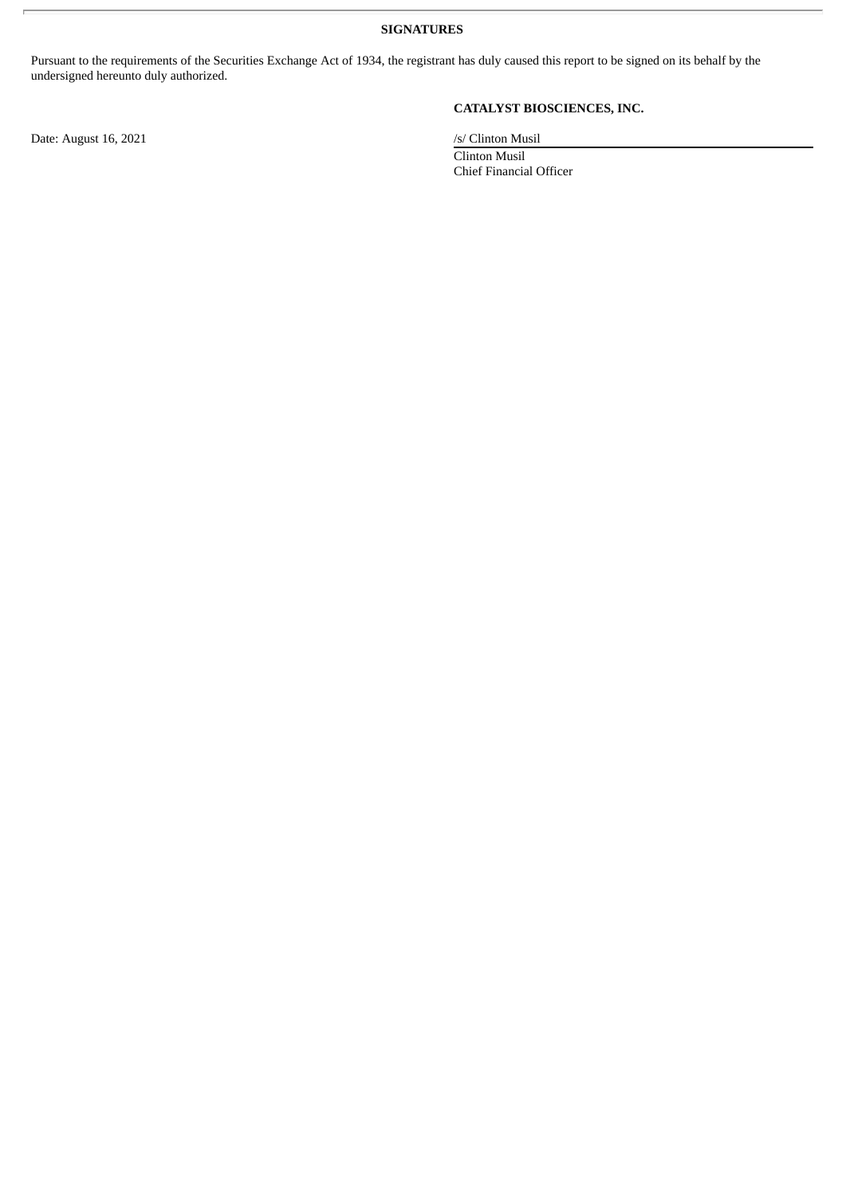**SIGNATURES**

Pursuant to the requirements of the Securities Exchange Act of 1934, the registrant has duly caused this report to be signed on its behalf by the undersigned hereunto duly authorized.

Date: August 16, 2021 /s/ Clinton Musil

## **CATALYST BIOSCIENCES, INC.**

Clinton Musil Chief Financial Officer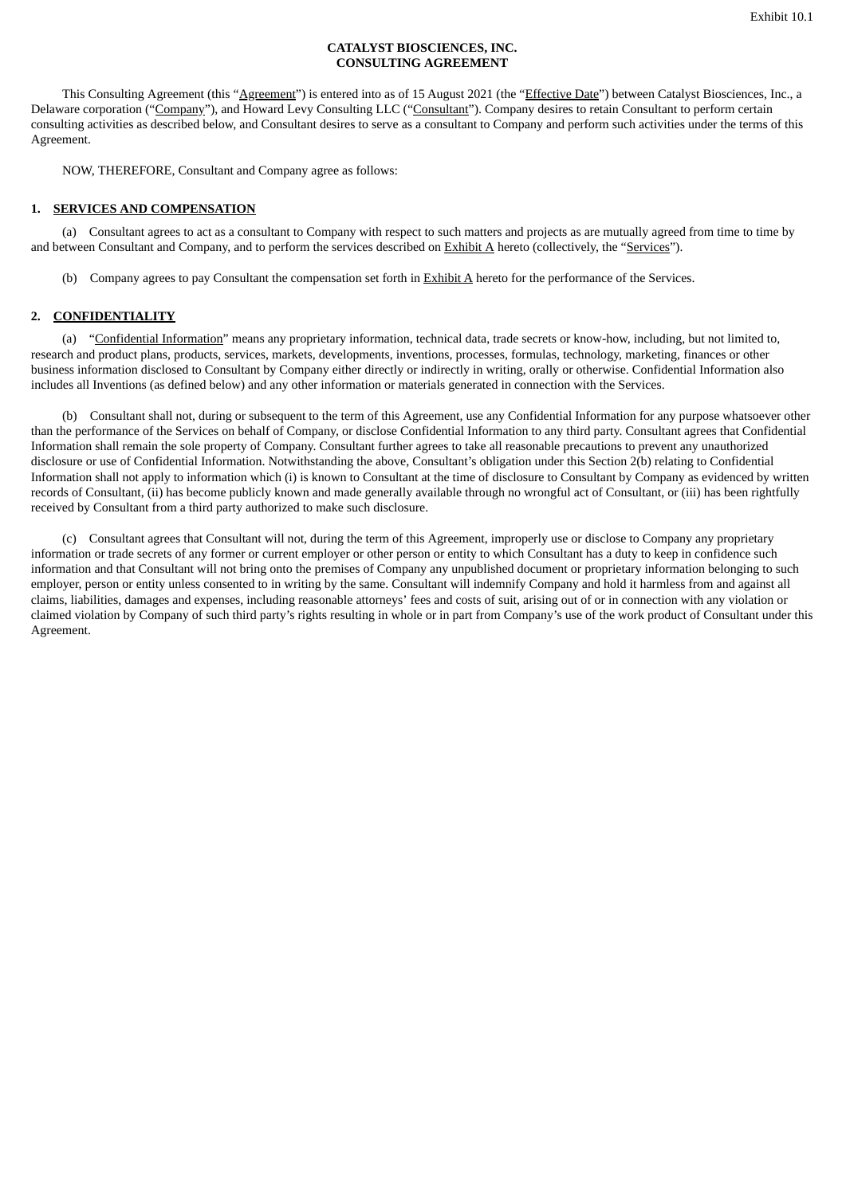#### **CATALYST BIOSCIENCES, INC. CONSULTING AGREEMENT**

<span id="page-3-0"></span>This Consulting Agreement (this "Agreement") is entered into as of 15 August 2021 (the "Effective Date") between Catalyst Biosciences, Inc., a Delaware corporation ("Company"), and Howard Levy Consulting LLC ("Consultant"). Company desires to retain Consultant to perform certain consulting activities as described below, and Consultant desires to serve as a consultant to Company and perform such activities under the terms of this Agreement.

NOW, THEREFORE, Consultant and Company agree as follows:

#### **1. SERVICES AND COMPENSATION**

(a) Consultant agrees to act as a consultant to Company with respect to such matters and projects as are mutually agreed from time to time by and between Consultant and Company, and to perform the services described on Exhibit A hereto (collectively, the "Services").

(b) Company agrees to pay Consultant the compensation set forth in Exhibit A hereto for the performance of the Services.

#### **2. CONFIDENTIALITY**

(a) "Confidential Information" means any proprietary information, technical data, trade secrets or know-how, including, but not limited to, research and product plans, products, services, markets, developments, inventions, processes, formulas, technology, marketing, finances or other business information disclosed to Consultant by Company either directly or indirectly in writing, orally or otherwise. Confidential Information also includes all Inventions (as defined below) and any other information or materials generated in connection with the Services.

(b) Consultant shall not, during or subsequent to the term of this Agreement, use any Confidential Information for any purpose whatsoever other than the performance of the Services on behalf of Company, or disclose Confidential Information to any third party. Consultant agrees that Confidential Information shall remain the sole property of Company. Consultant further agrees to take all reasonable precautions to prevent any unauthorized disclosure or use of Confidential Information. Notwithstanding the above, Consultant's obligation under this Section 2(b) relating to Confidential Information shall not apply to information which (i) is known to Consultant at the time of disclosure to Consultant by Company as evidenced by written records of Consultant, (ii) has become publicly known and made generally available through no wrongful act of Consultant, or (iii) has been rightfully received by Consultant from a third party authorized to make such disclosure.

(c) Consultant agrees that Consultant will not, during the term of this Agreement, improperly use or disclose to Company any proprietary information or trade secrets of any former or current employer or other person or entity to which Consultant has a duty to keep in confidence such information and that Consultant will not bring onto the premises of Company any unpublished document or proprietary information belonging to such employer, person or entity unless consented to in writing by the same. Consultant will indemnify Company and hold it harmless from and against all claims, liabilities, damages and expenses, including reasonable attorneys' fees and costs of suit, arising out of or in connection with any violation or claimed violation by Company of such third party's rights resulting in whole or in part from Company's use of the work product of Consultant under this Agreement.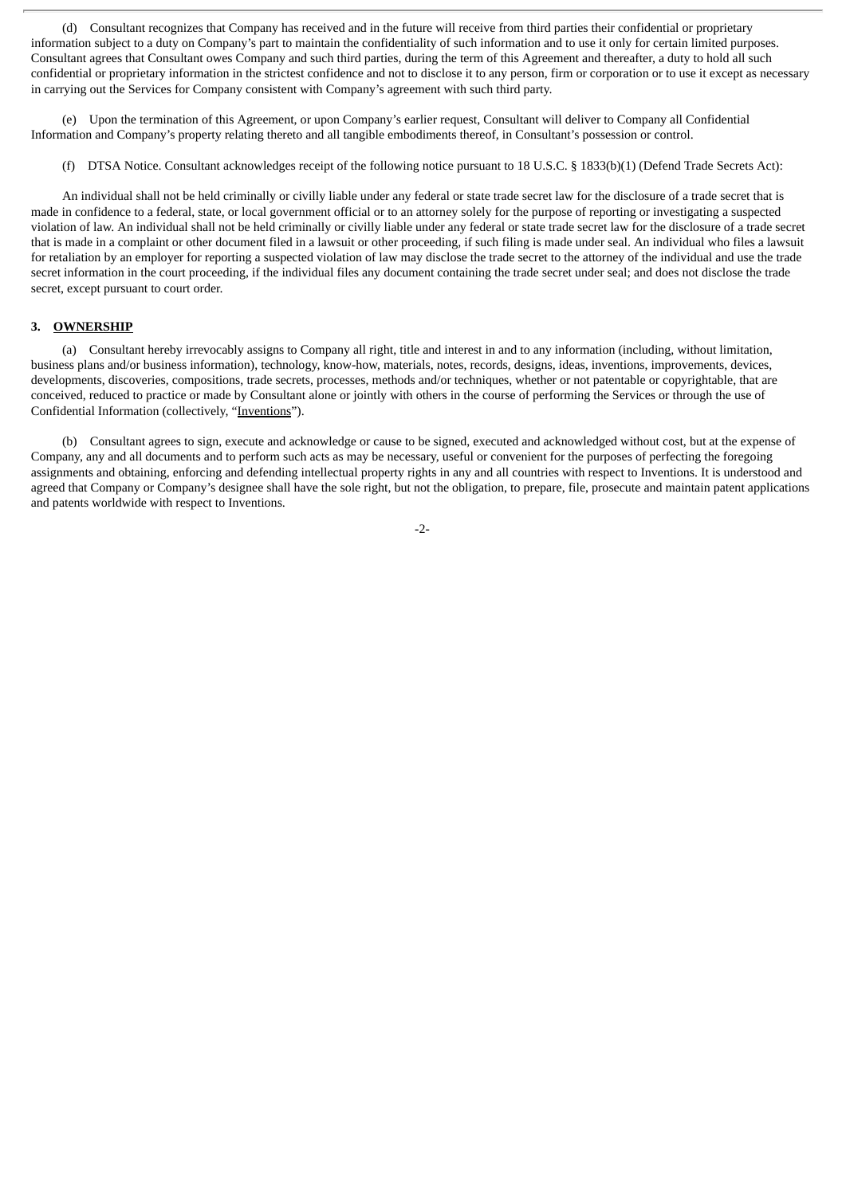(d) Consultant recognizes that Company has received and in the future will receive from third parties their confidential or proprietary information subject to a duty on Company's part to maintain the confidentiality of such information and to use it only for certain limited purposes. Consultant agrees that Consultant owes Company and such third parties, during the term of this Agreement and thereafter, a duty to hold all such confidential or proprietary information in the strictest confidence and not to disclose it to any person, firm or corporation or to use it except as necessary in carrying out the Services for Company consistent with Company's agreement with such third party.

(e) Upon the termination of this Agreement, or upon Company's earlier request, Consultant will deliver to Company all Confidential Information and Company's property relating thereto and all tangible embodiments thereof, in Consultant's possession or control.

(f) DTSA Notice. Consultant acknowledges receipt of the following notice pursuant to 18 U.S.C. § 1833(b)(1) (Defend Trade Secrets Act):

An individual shall not be held criminally or civilly liable under any federal or state trade secret law for the disclosure of a trade secret that is made in confidence to a federal, state, or local government official or to an attorney solely for the purpose of reporting or investigating a suspected violation of law. An individual shall not be held criminally or civilly liable under any federal or state trade secret law for the disclosure of a trade secret that is made in a complaint or other document filed in a lawsuit or other proceeding, if such filing is made under seal. An individual who files a lawsuit for retaliation by an employer for reporting a suspected violation of law may disclose the trade secret to the attorney of the individual and use the trade secret information in the court proceeding, if the individual files any document containing the trade secret under seal; and does not disclose the trade secret, except pursuant to court order.

#### **3. OWNERSHIP**

(a) Consultant hereby irrevocably assigns to Company all right, title and interest in and to any information (including, without limitation, business plans and/or business information), technology, know-how, materials, notes, records, designs, ideas, inventions, improvements, devices, developments, discoveries, compositions, trade secrets, processes, methods and/or techniques, whether or not patentable or copyrightable, that are conceived, reduced to practice or made by Consultant alone or jointly with others in the course of performing the Services or through the use of Confidential Information (collectively, "Inventions").

(b) Consultant agrees to sign, execute and acknowledge or cause to be signed, executed and acknowledged without cost, but at the expense of Company, any and all documents and to perform such acts as may be necessary, useful or convenient for the purposes of perfecting the foregoing assignments and obtaining, enforcing and defending intellectual property rights in any and all countries with respect to Inventions. It is understood and agreed that Company or Company's designee shall have the sole right, but not the obligation, to prepare, file, prosecute and maintain patent applications and patents worldwide with respect to Inventions.

-2-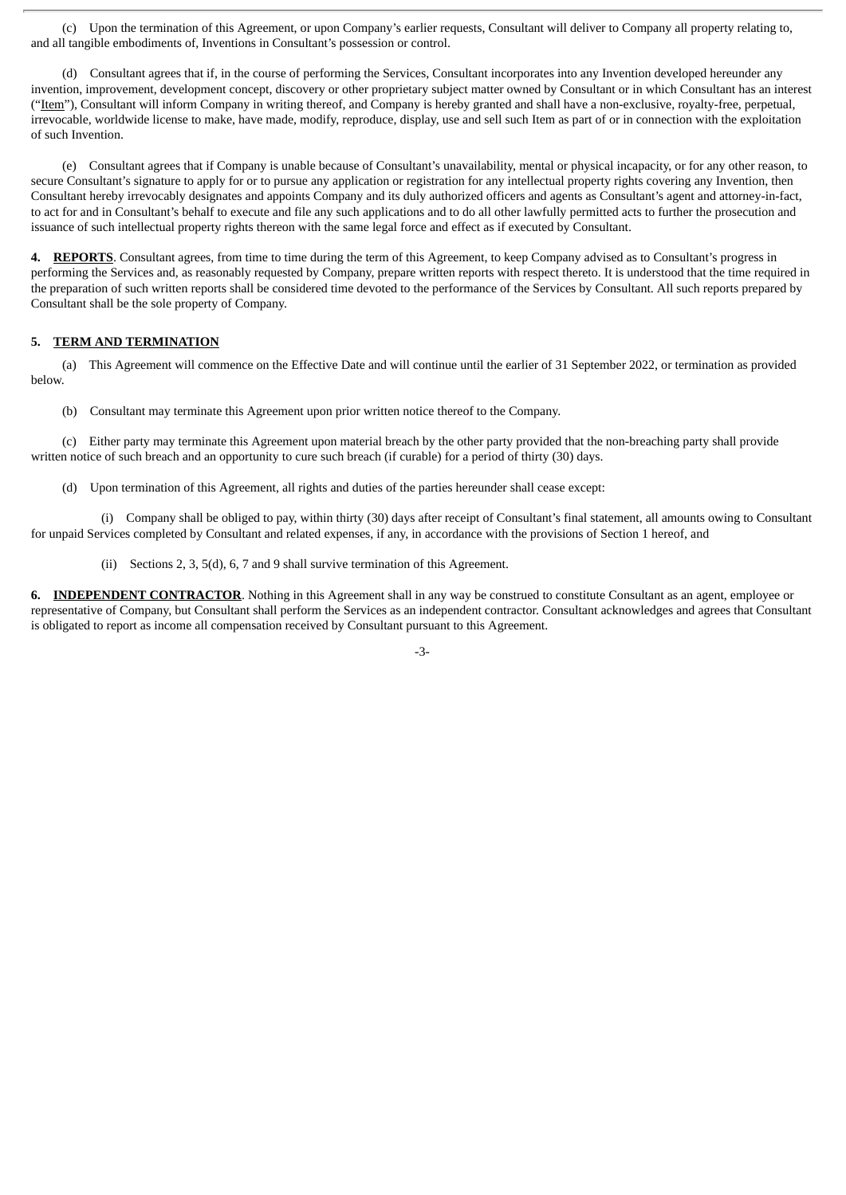(c) Upon the termination of this Agreement, or upon Company's earlier requests, Consultant will deliver to Company all property relating to, and all tangible embodiments of, Inventions in Consultant's possession or control.

(d) Consultant agrees that if, in the course of performing the Services, Consultant incorporates into any Invention developed hereunder any invention, improvement, development concept, discovery or other proprietary subject matter owned by Consultant or in which Consultant has an interest ("Item"), Consultant will inform Company in writing thereof, and Company is hereby granted and shall have a non-exclusive, royalty-free, perpetual, irrevocable, worldwide license to make, have made, modify, reproduce, display, use and sell such Item as part of or in connection with the exploitation of such Invention.

(e) Consultant agrees that if Company is unable because of Consultant's unavailability, mental or physical incapacity, or for any other reason, to secure Consultant's signature to apply for or to pursue any application or registration for any intellectual property rights covering any Invention, then Consultant hereby irrevocably designates and appoints Company and its duly authorized officers and agents as Consultant's agent and attorney-in-fact, to act for and in Consultant's behalf to execute and file any such applications and to do all other lawfully permitted acts to further the prosecution and issuance of such intellectual property rights thereon with the same legal force and effect as if executed by Consultant.

**4. REPORTS**. Consultant agrees, from time to time during the term of this Agreement, to keep Company advised as to Consultant's progress in performing the Services and, as reasonably requested by Company, prepare written reports with respect thereto. It is understood that the time required in the preparation of such written reports shall be considered time devoted to the performance of the Services by Consultant. All such reports prepared by Consultant shall be the sole property of Company.

#### **5. TERM AND TERMINATION**

(a) This Agreement will commence on the Effective Date and will continue until the earlier of 31 September 2022, or termination as provided below.

(b) Consultant may terminate this Agreement upon prior written notice thereof to the Company.

(c) Either party may terminate this Agreement upon material breach by the other party provided that the non-breaching party shall provide written notice of such breach and an opportunity to cure such breach (if curable) for a period of thirty (30) days.

(d) Upon termination of this Agreement, all rights and duties of the parties hereunder shall cease except:

(i) Company shall be obliged to pay, within thirty (30) days after receipt of Consultant's final statement, all amounts owing to Consultant for unpaid Services completed by Consultant and related expenses, if any, in accordance with the provisions of Section 1 hereof, and

(ii) Sections 2, 3, 5(d), 6, 7 and 9 shall survive termination of this Agreement.

**6. INDEPENDENT CONTRACTOR**. Nothing in this Agreement shall in any way be construed to constitute Consultant as an agent, employee or representative of Company, but Consultant shall perform the Services as an independent contractor. Consultant acknowledges and agrees that Consultant is obligated to report as income all compensation received by Consultant pursuant to this Agreement.

-3-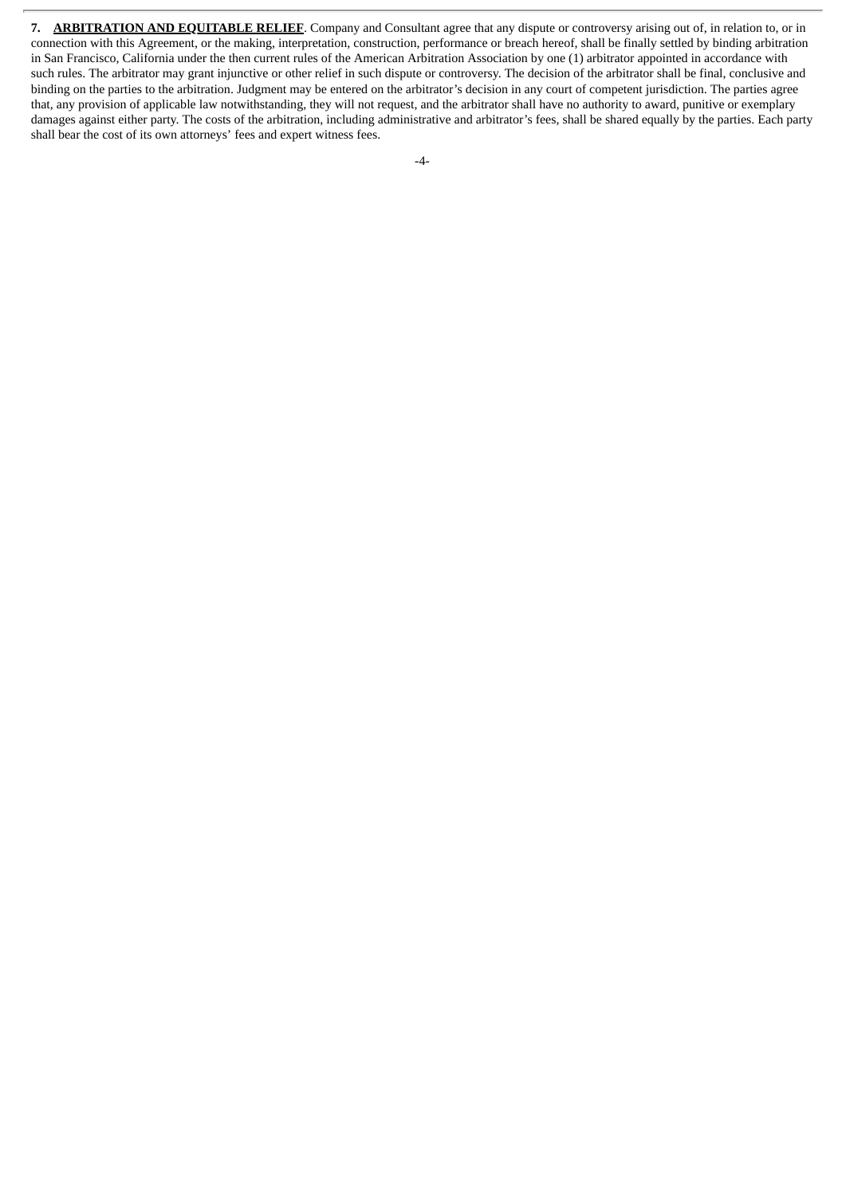**7. ARBITRATION AND EQUITABLE RELIEF**. Company and Consultant agree that any dispute or controversy arising out of, in relation to, or in connection with this Agreement, or the making, interpretation, construction, performance or breach hereof, shall be finally settled by binding arbitration in San Francisco, California under the then current rules of the American Arbitration Association by one (1) arbitrator appointed in accordance with such rules. The arbitrator may grant injunctive or other relief in such dispute or controversy. The decision of the arbitrator shall be final, conclusive and binding on the parties to the arbitration. Judgment may be entered on the arbitrator's decision in any court of competent jurisdiction. The parties agree that, any provision of applicable law notwithstanding, they will not request, and the arbitrator shall have no authority to award, punitive or exemplary damages against either party. The costs of the arbitration, including administrative and arbitrator's fees, shall be shared equally by the parties. Each party shall bear the cost of its own attorneys' fees and expert witness fees.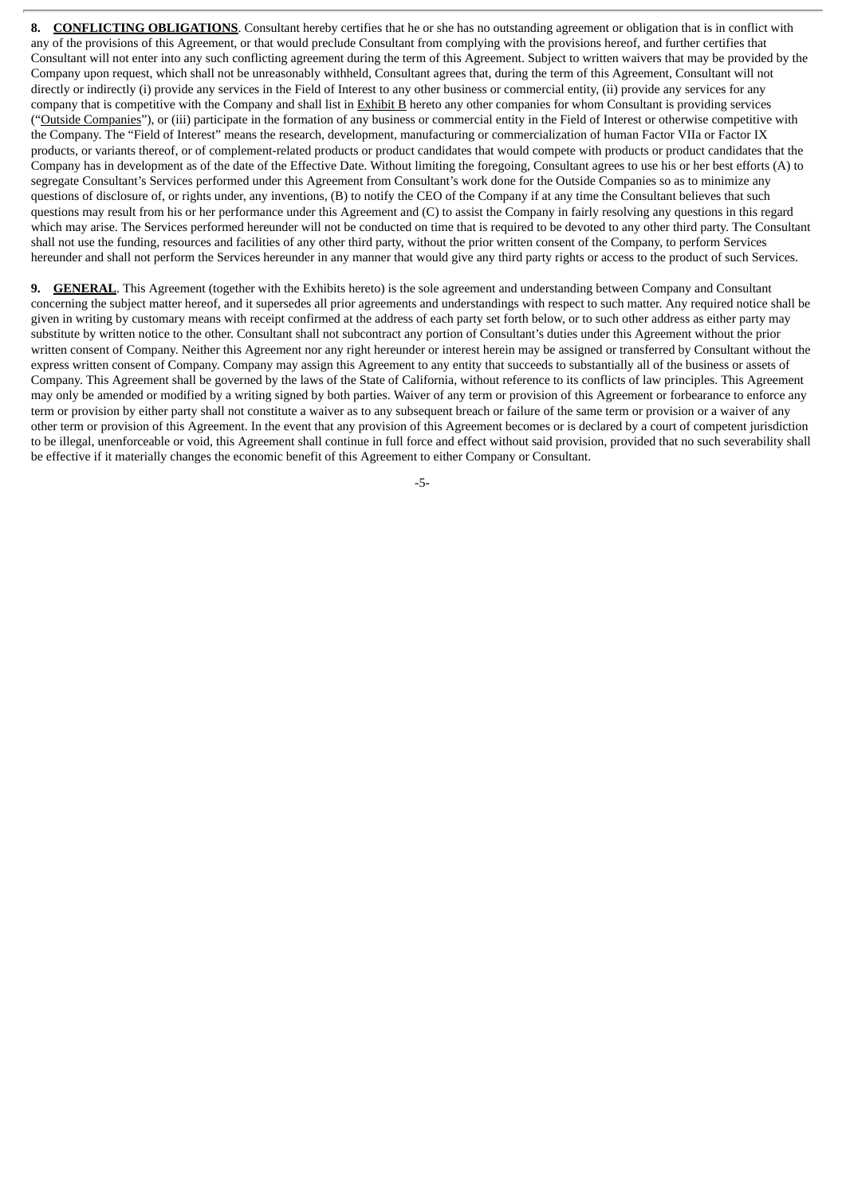**8. CONFLICTING OBLIGATIONS**. Consultant hereby certifies that he or she has no outstanding agreement or obligation that is in conflict with any of the provisions of this Agreement, or that would preclude Consultant from complying with the provisions hereof, and further certifies that Consultant will not enter into any such conflicting agreement during the term of this Agreement. Subject to written waivers that may be provided by the Company upon request, which shall not be unreasonably withheld, Consultant agrees that, during the term of this Agreement, Consultant will not directly or indirectly (i) provide any services in the Field of Interest to any other business or commercial entity, (ii) provide any services for any company that is competitive with the Company and shall list in Exhibit B hereto any other companies for whom Consultant is providing services ("Outside Companies"), or (iii) participate in the formation of any business or commercial entity in the Field of Interest or otherwise competitive with the Company. The "Field of Interest" means the research, development, manufacturing or commercialization of human Factor VIIa or Factor IX products, or variants thereof, or of complement-related products or product candidates that would compete with products or product candidates that the Company has in development as of the date of the Effective Date. Without limiting the foregoing, Consultant agrees to use his or her best efforts (A) to segregate Consultant's Services performed under this Agreement from Consultant's work done for the Outside Companies so as to minimize any questions of disclosure of, or rights under, any inventions, (B) to notify the CEO of the Company if at any time the Consultant believes that such questions may result from his or her performance under this Agreement and (C) to assist the Company in fairly resolving any questions in this regard which may arise. The Services performed hereunder will not be conducted on time that is required to be devoted to any other third party. The Consultant shall not use the funding, resources and facilities of any other third party, without the prior written consent of the Company, to perform Services hereunder and shall not perform the Services hereunder in any manner that would give any third party rights or access to the product of such Services.

**9. GENERAL**. This Agreement (together with the Exhibits hereto) is the sole agreement and understanding between Company and Consultant concerning the subject matter hereof, and it supersedes all prior agreements and understandings with respect to such matter. Any required notice shall be given in writing by customary means with receipt confirmed at the address of each party set forth below, or to such other address as either party may substitute by written notice to the other. Consultant shall not subcontract any portion of Consultant's duties under this Agreement without the prior written consent of Company. Neither this Agreement nor any right hereunder or interest herein may be assigned or transferred by Consultant without the express written consent of Company. Company may assign this Agreement to any entity that succeeds to substantially all of the business or assets of Company. This Agreement shall be governed by the laws of the State of California, without reference to its conflicts of law principles. This Agreement may only be amended or modified by a writing signed by both parties. Waiver of any term or provision of this Agreement or forbearance to enforce any term or provision by either party shall not constitute a waiver as to any subsequent breach or failure of the same term or provision or a waiver of any other term or provision of this Agreement. In the event that any provision of this Agreement becomes or is declared by a court of competent jurisdiction to be illegal, unenforceable or void, this Agreement shall continue in full force and effect without said provision, provided that no such severability shall be effective if it materially changes the economic benefit of this Agreement to either Company or Consultant.

-5-